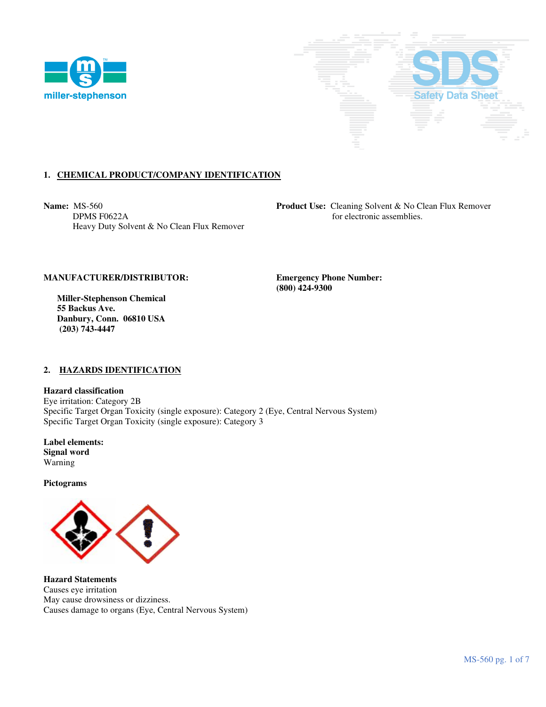



# **1. CHEMICAL PRODUCT/COMPANY IDENTIFICATION**

Heavy Duty Solvent & No Clean Flux Remover

**Name:** MS-560 **Product Use:** Cleaning Solvent & No Clean Flux Remover **DPMS F0622A Product Use:** Cleaning Solvent & No Clean Flux Remover for electronic assemblies.

### **MANUFACTURER/DISTRIBUTOR: Emergency Phone Number:**

 **Miller-Stephenson Chemical 55 Backus Ave. Danbury, Conn. 06810 USA (203) 743-4447** 

 **(800) 424-9300** 

### **2. HAZARDS IDENTIFICATION**

**Hazard classification**  Eye irritation: Category 2B Specific Target Organ Toxicity (single exposure): Category 2 (Eye, Central Nervous System) Specific Target Organ Toxicity (single exposure): Category 3

**Label elements: Signal word**  Warning

**Pictograms** 



**Hazard Statements**  Causes eye irritation May cause drowsiness or dizziness. Causes damage to organs (Eye, Central Nervous System)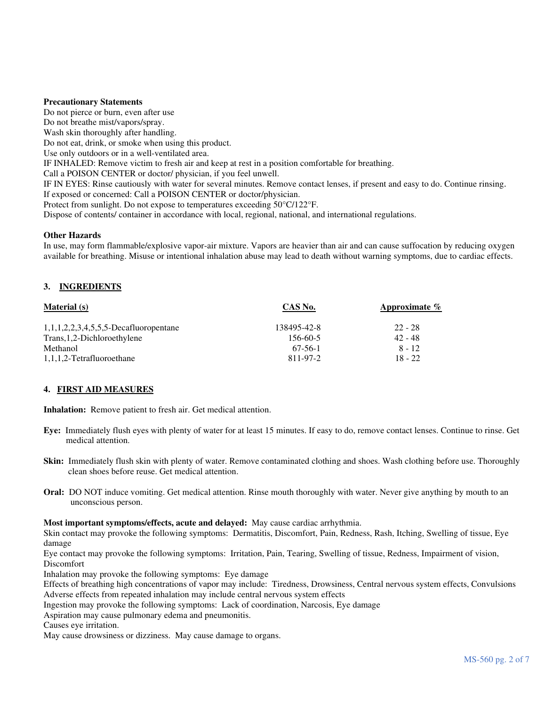### **Precautionary Statements**

Do not pierce or burn, even after use Do not breathe mist/vapors/spray. Wash skin thoroughly after handling. Do not eat, drink, or smoke when using this product. Use only outdoors or in a well-ventilated area. IF INHALED: Remove victim to fresh air and keep at rest in a position comfortable for breathing. Call a POISON CENTER or doctor/ physician, if you feel unwell. IF IN EYES: Rinse cautiously with water for several minutes. Remove contact lenses, if present and easy to do. Continue rinsing. If exposed or concerned: Call a POISON CENTER or doctor/physician. Protect from sunlight. Do not expose to temperatures exceeding 50°C/122°F. Dispose of contents/ container in accordance with local, regional, national, and international regulations.

# **Other Hazards**

In use, may form flammable/explosive vapor-air mixture. Vapors are heavier than air and can cause suffocation by reducing oxygen available for breathing. Misuse or intentional inhalation abuse may lead to death without warning symptoms, due to cardiac effects.

# **3. INGREDIENTS**

| <b>Material</b> (s)                      | CAS No.     | Approximate $\%$ |
|------------------------------------------|-------------|------------------|
| $1,1,1,2,2,3,4,5,5,5$ -Decafluoropentane | 138495-42-8 | $22 - 28$        |
| Trans, 1, 2-Dichloroethylene             | 156-60-5    | 42 - 48          |
| Methanol                                 | $67-56-1$   | $8 - 12$         |
| 1,1,1,2-Tetrafluoroethane                | 811-97-2    | $18 - 22$        |

### **4. FIRST AID MEASURES**

**Inhalation:** Remove patient to fresh air. Get medical attention.

- **Eye:** Immediately flush eyes with plenty of water for at least 15 minutes. If easy to do, remove contact lenses. Continue to rinse. Get medical attention.
- **Skin:** Immediately flush skin with plenty of water. Remove contaminated clothing and shoes. Wash clothing before use. Thoroughly clean shoes before reuse. Get medical attention.
- **Oral:** DO NOT induce vomiting. Get medical attention. Rinse mouth thoroughly with water. Never give anything by mouth to an unconscious person.

### **Most important symptoms/effects, acute and delayed:** May cause cardiac arrhythmia.

Skin contact may provoke the following symptoms: Dermatitis, Discomfort, Pain, Redness, Rash, Itching, Swelling of tissue, Eye damage

Eye contact may provoke the following symptoms: Irritation, Pain, Tearing, Swelling of tissue, Redness, Impairment of vision, Discomfort

Inhalation may provoke the following symptoms: Eye damage

Effects of breathing high concentrations of vapor may include: Tiredness, Drowsiness, Central nervous system effects, Convulsions Adverse effects from repeated inhalation may include central nervous system effects

Ingestion may provoke the following symptoms: Lack of coordination, Narcosis, Eye damage

Aspiration may cause pulmonary edema and pneumonitis.

Causes eye irritation.

May cause drowsiness or dizziness. May cause damage to organs.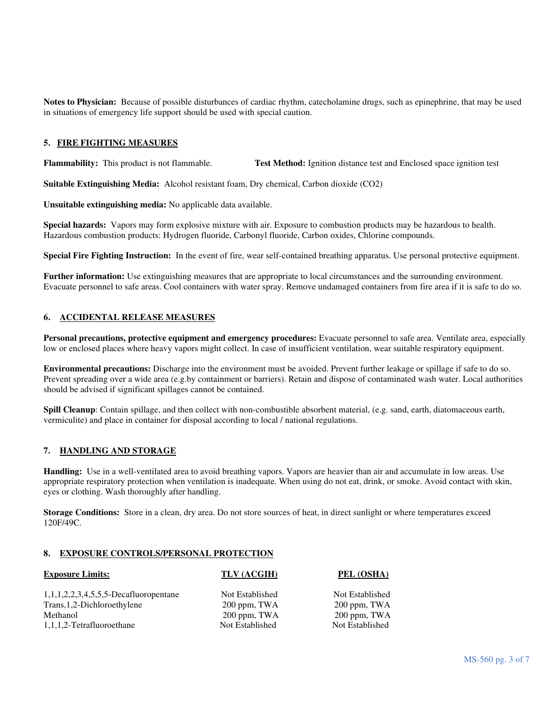**Notes to Physician:** Because of possible disturbances of cardiac rhythm, catecholamine drugs, such as epinephrine, that may be used in situations of emergency life support should be used with special caution.

# **5. FIRE FIGHTING MEASURES**

**Flammability:** This product is not flammable. **Test Method:** Ignition distance test and Enclosed space ignition test

**Suitable Extinguishing Media:** Alcohol resistant foam, Dry chemical, Carbon dioxide (CO2)

**Unsuitable extinguishing media:** No applicable data available.

**Special hazards:** Vapors may form explosive mixture with air. Exposure to combustion products may be hazardous to health. Hazardous combustion products: Hydrogen fluoride, Carbonyl fluoride, Carbon oxides, Chlorine compounds.

**Special Fire Fighting Instruction:** In the event of fire, wear self-contained breathing apparatus. Use personal protective equipment.

**Further information:** Use extinguishing measures that are appropriate to local circumstances and the surrounding environment. Evacuate personnel to safe areas. Cool containers with water spray. Remove undamaged containers from fire area if it is safe to do so.

### **6. ACCIDENTAL RELEASE MEASURES**

**Personal precautions, protective equipment and emergency procedures:** Evacuate personnel to safe area. Ventilate area, especially low or enclosed places where heavy vapors might collect. In case of insufficient ventilation, wear suitable respiratory equipment.

**Environmental precautions:** Discharge into the environment must be avoided. Prevent further leakage or spillage if safe to do so. Prevent spreading over a wide area (e.g.by containment or barriers). Retain and dispose of contaminated wash water. Local authorities should be advised if significant spillages cannot be contained.

**Spill Cleanup**: Contain spillage, and then collect with non-combustible absorbent material, (e.g. sand, earth, diatomaceous earth, vermiculite) and place in container for disposal according to local / national regulations.

### **7. HANDLING AND STORAGE**

**Handling:** Use in a well-ventilated area to avoid breathing vapors. Vapors are heavier than air and accumulate in low areas. Use appropriate respiratory protection when ventilation is inadequate. When using do not eat, drink, or smoke. Avoid contact with skin, eyes or clothing. Wash thoroughly after handling.

**Storage Conditions:** Store in a clean, dry area. Do not store sources of heat, in direct sunlight or where temperatures exceed 120F/49C.

### **8. EXPOSURE CONTROLS/PERSONAL PROTECTION**

| <b>Exposure Limits:</b>                  | TLV (ACGIH)     | PEL (OSHA)      |
|------------------------------------------|-----------------|-----------------|
| $1,1,1,2,2,3,4,5,5,5$ -Decafluoropentane | Not Established | Not Established |
| Trans, 1, 2-Dichloroethylene             | 200 ppm, TWA    | 200 ppm, TWA    |
| Methanol                                 | 200 ppm, TWA    | 200 ppm, TWA    |
| 1,1,1,2-Tetrafluoroethane                | Not Established | Not Established |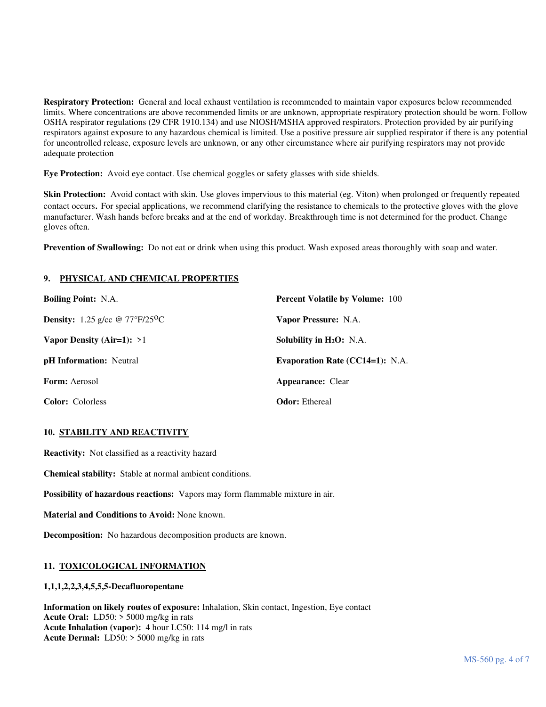**Respiratory Protection:** General and local exhaust ventilation is recommended to maintain vapor exposures below recommended limits. Where concentrations are above recommended limits or are unknown, appropriate respiratory protection should be worn. Follow OSHA respirator regulations (29 CFR 1910.134) and use NIOSH/MSHA approved respirators. Protection provided by air purifying respirators against exposure to any hazardous chemical is limited. Use a positive pressure air supplied respirator if there is any potential for uncontrolled release, exposure levels are unknown, or any other circumstance where air purifying respirators may not provide adequate protection

**Eye Protection:** Avoid eye contact. Use chemical goggles or safety glasses with side shields.

**Skin Protection:** Avoid contact with skin. Use gloves impervious to this material (eg. Viton) when prolonged or frequently repeated contact occurs. For special applications, we recommend clarifying the resistance to chemicals to the protective gloves with the glove manufacturer. Wash hands before breaks and at the end of workday. Breakthrough time is not determined for the product. Change gloves often.

**Prevention of Swallowing:** Do not eat or drink when using this product. Wash exposed areas thoroughly with soap and water.

# **9. PHYSICAL AND CHEMICAL PROPERTIES**

| <b>Boiling Point: N.A.</b>                            | <b>Percent Volatile by Volume: 100</b> |
|-------------------------------------------------------|----------------------------------------|
| <b>Density:</b> 1.25 g/cc @ $77^{\circ}F/25^{\circ}C$ | Vapor Pressure: N.A.                   |
| Vapor Density (Air=1): $>1$                           | Solubility in $H_2O$ : N.A.            |
| <b>pH</b> Information: Neutral                        | <b>Evaporation Rate (CC14=1):</b> N.A. |
| <b>Form:</b> Aerosol                                  | <b>Appearance:</b> Clear               |
| <b>Color:</b> Colorless                               | <b>Odor:</b> Ethereal                  |

# **10. STABILITY AND REACTIVITY**

**Reactivity:** Not classified as a reactivity hazard

**Chemical stability:** Stable at normal ambient conditions.

**Possibility of hazardous reactions:** Vapors may form flammable mixture in air.

**Material and Conditions to Avoid:** None known.

**Decomposition:** No hazardous decomposition products are known.

# **11. TOXICOLOGICAL INFORMATION**

# **1,1,1,2,2,3,4,5,5,5-Decafluoropentane**

**Information on likely routes of exposure:** Inhalation, Skin contact, Ingestion, Eye contact **Acute Oral:** LD50: > 5000 mg/kg in rats **Acute Inhalation (vapor):** 4 hour LC50: 114 mg/l in rats **Acute Dermal:** LD50: > 5000 mg/kg in rats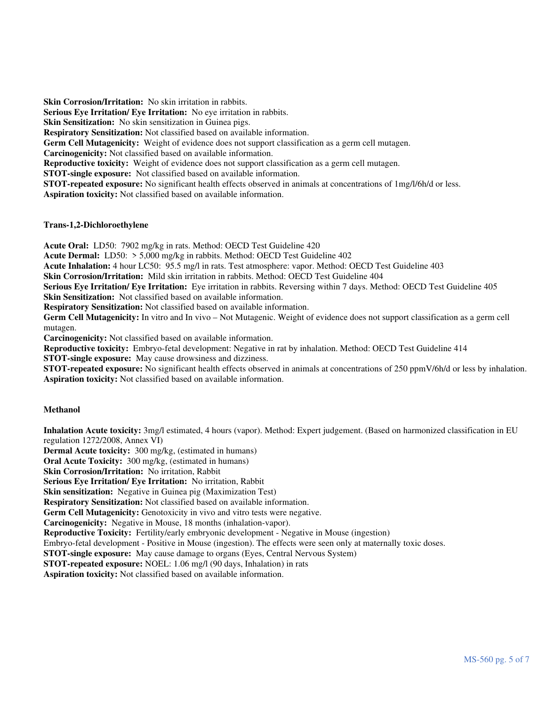**Skin Corrosion/Irritation:** No skin irritation in rabbits. **Serious Eye Irritation/ Eye Irritation:** No eye irritation in rabbits. **Skin Sensitization:** No skin sensitization in Guinea pigs. **Respiratory Sensitization:** Not classified based on available information. **Germ Cell Mutagenicity:** Weight of evidence does not support classification as a germ cell mutagen. **Carcinogenicity:** Not classified based on available information. **Reproductive toxicity:** Weight of evidence does not support classification as a germ cell mutagen. **STOT-single exposure:** Not classified based on available information. **STOT-repeated exposure:** No significant health effects observed in animals at concentrations of 1mg/l/6h/d or less. **Aspiration toxicity:** Not classified based on available information.

### **Trans-1,2-Dichloroethylene**

**Acute Oral:** LD50: 7902 mg/kg in rats. Method: OECD Test Guideline 420

**Acute Dermal:** LD50: > 5,000 mg/kg in rabbits. Method: OECD Test Guideline 402

**Acute Inhalation:** 4 hour LC50: 95.5 mg/l in rats. Test atmosphere: vapor. Method: OECD Test Guideline 403

**Skin Corrosion/Irritation:** Mild skin irritation in rabbits. Method: OECD Test Guideline 404

**Serious Eye Irritation/ Eye Irritation:** Eye irritation in rabbits. Reversing within 7 days. Method: OECD Test Guideline 405 **Skin Sensitization:** Not classified based on available information.

**Respiratory Sensitization:** Not classified based on available information.

**Germ Cell Mutagenicity:** In vitro and In vivo – Not Mutagenic. Weight of evidence does not support classification as a germ cell mutagen.

**Carcinogenicity:** Not classified based on available information.

**Reproductive toxicity:** Embryo-fetal development: Negative in rat by inhalation. Method: OECD Test Guideline 414

**STOT-single exposure:** May cause drowsiness and dizziness.

**STOT-repeated exposure:** No significant health effects observed in animals at concentrations of 250 ppmV/6h/d or less by inhalation. **Aspiration toxicity:** Not classified based on available information.

# **Methanol**

**Inhalation Acute toxicity:** 3mg/l estimated, 4 hours (vapor). Method: Expert judgement. (Based on harmonized classification in EU regulation 1272/2008, Annex VI)

**Dermal Acute toxicity:** 300 mg/kg, (estimated in humans)

**Oral Acute Toxicity:** 300 mg/kg, (estimated in humans)

**Skin Corrosion/Irritation:** No irritation, Rabbit

**Serious Eye Irritation/ Eye Irritation:** No irritation, Rabbit

**Skin sensitization:** Negative in Guinea pig (Maximization Test)

**Respiratory Sensitization:** Not classified based on available information.

Germ Cell Mutagenicity: Genotoxicity in vivo and vitro tests were negative.

**Carcinogenicity:** Negative in Mouse, 18 months (inhalation-vapor).

**Reproductive Toxicity:** Fertility/early embryonic development - Negative in Mouse (ingestion)

Embryo-fetal development - Positive in Mouse (ingestion). The effects were seen only at maternally toxic doses.

**STOT-single exposure:** May cause damage to organs (Eyes, Central Nervous System)

**STOT-repeated exposure:** NOEL: 1.06 mg/l (90 days, Inhalation) in rats

**Aspiration toxicity:** Not classified based on available information.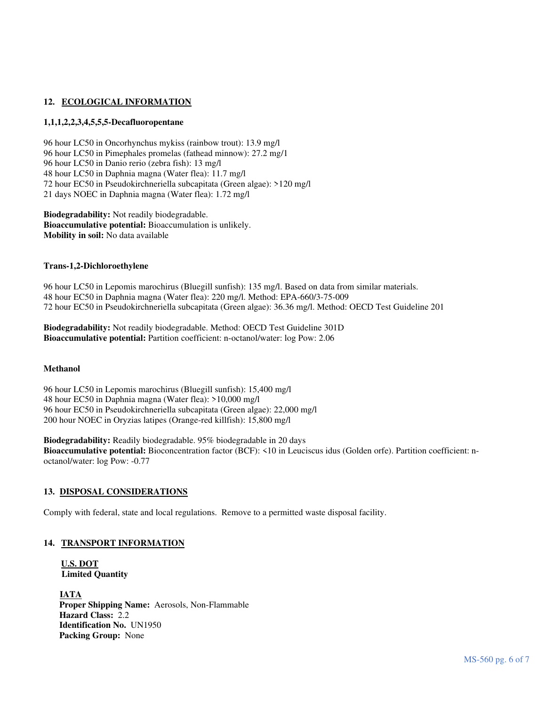# 12. ECOLOGICAL INFORMATION

### **1,1,1,2,2,3,4,5,5,5-Decafluoropentane**

96 hour LC50 in Oncorhynchus mykiss (rainbow trout): 13.9 mg/l 96 hour LC50 in Pimephales promelas (fathead minnow): 27.2 mg/1 96 hour LC50 in Danio rerio (zebra fish): 13 mg/l 48 hour LC50 in Daphnia magna (Water flea): 11.7 mg/l 72 hour EC50 in Pseudokirchneriella subcapitata (Green algae): >120 mg/l 21 days NOEC in Daphnia magna (Water flea): 1.72 mg/l

**Biodegradability:** Not readily biodegradable. **Bioaccumulative potential:** Bioaccumulation is unlikely. **Mobility in soil:** No data available

### **Trans-1,2-Dichloroethylene**

96 hour LC50 in Lepomis marochirus (Bluegill sunfish): 135 mg/l. Based on data from similar materials. 48 hour EC50 in Daphnia magna (Water flea): 220 mg/l. Method: EPA-660/3-75-009 72 hour EC50 in Pseudokirchneriella subcapitata (Green algae): 36.36 mg/l. Method: OECD Test Guideline 201

**Biodegradability:** Not readily biodegradable. Method: OECD Test Guideline 301D **Bioaccumulative potential:** Partition coefficient: n-octanol/water: log Pow: 2.06

### **Methanol**

96 hour LC50 in Lepomis marochirus (Bluegill sunfish): 15,400 mg/l 48 hour EC50 in Daphnia magna (Water flea): >10,000 mg/l 96 hour EC50 in Pseudokirchneriella subcapitata (Green algae): 22,000 mg/l 200 hour NOEC in Oryzias latipes (Orange-red killfish): 15,800 mg/l

**Biodegradability:** Readily biodegradable. 95% biodegradable in 20 days **Bioaccumulative potential:** Bioconcentration factor (BCF): <10 in Leuciscus idus (Golden orfe). Partition coefficient: noctanol/water: log Pow: -0.77

### **13. DISPOSAL CONSIDERATIONS**

Comply with federal, state and local regulations. Remove to a permitted waste disposal facility.

### **14. TRANSPORT INFORMATION**

# **U.S. DOT Limited Quantity**

**IATA Proper Shipping Name:** Aerosols, Non-Flammable **Hazard Class:** 2.2 **Identification No.** UN1950 **Packing Group:** None